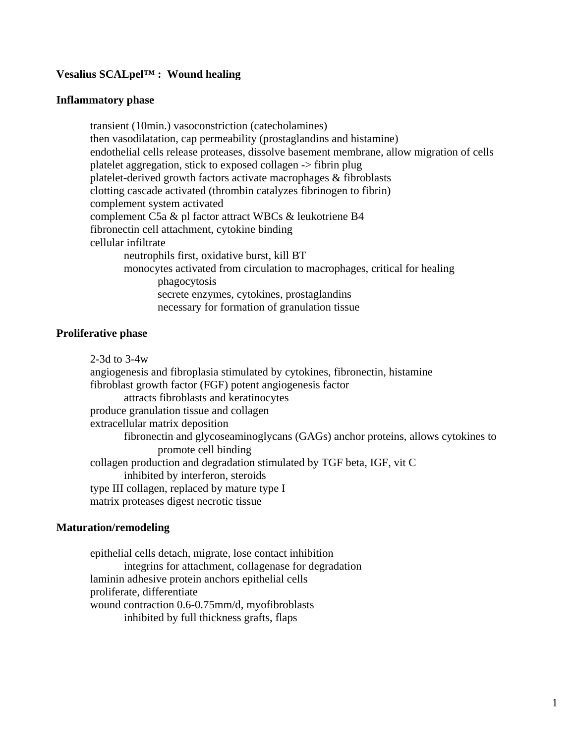# **Vesalius SCALpel™ : Wound healing**

#### **Inflammatory phase**

 transient (10min.) vasoconstriction (catecholamines) then vasodilatation, cap permeability (prostaglandins and histamine) endothelial cells release proteases, dissolve basement membrane, allow migration of cells platelet aggregation, stick to exposed collagen -> fibrin plug platelet-derived growth factors activate macrophages & fibroblasts clotting cascade activated (thrombin catalyzes fibrinogen to fibrin) complement system activated complement C5a & pl factor attract WBCs & leukotriene B4 fibronectin cell attachment, cytokine binding cellular infiltrate neutrophils first, oxidative burst, kill BT monocytes activated from circulation to macrophages, critical for healing phagocytosis secrete enzymes, cytokines, prostaglandins necessary for formation of granulation tissue

### **Proliferative phase**

 2-3d to 3-4w angiogenesis and fibroplasia stimulated by cytokines, fibronectin, histamine fibroblast growth factor (FGF) potent angiogenesis factor attracts fibroblasts and keratinocytes produce granulation tissue and collagen extracellular matrix deposition fibronectin and glycoseaminoglycans (GAGs) anchor proteins, allows cytokines to promote cell binding collagen production and degradation stimulated by TGF beta, IGF, vit C inhibited by interferon, steroids type III collagen, replaced by mature type I matrix proteases digest necrotic tissue

### **Maturation/remodeling**

 epithelial cells detach, migrate, lose contact inhibition integrins for attachment, collagenase for degradation laminin adhesive protein anchors epithelial cells proliferate, differentiate wound contraction 0.6-0.75mm/d, myofibroblasts inhibited by full thickness grafts, flaps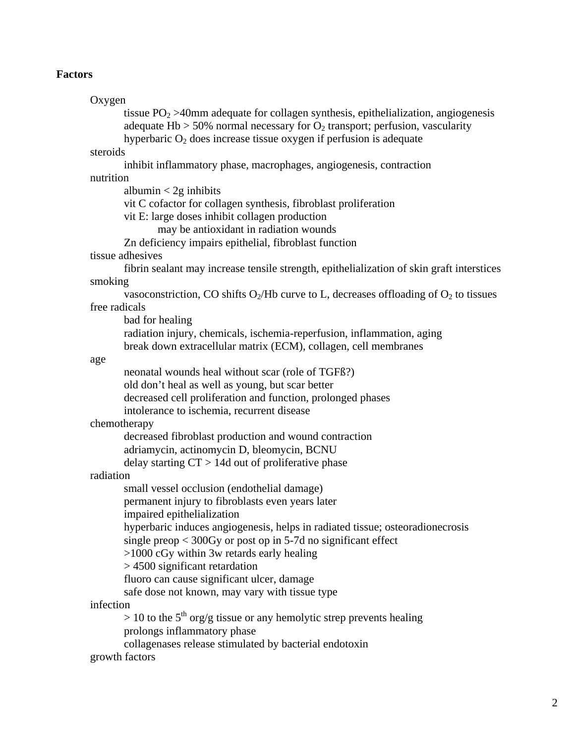## **Factors**

```
 Oxygen 
      tissue PO_2 > 40mm adequate for collagen synthesis, epithelialization, angiogenesis
       adequate Hb > 50% normal necessary for O_2 transport; perfusion, vascularity
      hyperbaric O_2 does increase tissue oxygen if perfusion is adequate
steroids 
       inhibit inflammatory phase, macrophages, angiogenesis, contraction 
nutrition 
      albumin < 2g inhibits
        vit C cofactor for collagen synthesis, fibroblast proliferation 
       vit E: large doses inhibit collagen production 
               may be antioxidant in radiation wounds 
       Zn deficiency impairs epithelial, fibroblast function 
tissue adhesives 
       fibrin sealant may increase tensile strength, epithelialization of skin graft interstices 
smoking 
      vasoconstriction, CO shifts O_2/Hb curve to L, decreases offloading of O_2 to tissues
free radicals 
       bad for healing 
       radiation injury, chemicals, ischemia-reperfusion, inflammation, aging 
       break down extracellular matrix (ECM), collagen, cell membranes 
age 
       neonatal wounds heal without scar (role of TGFß?) 
       old don't heal as well as young, but scar better 
       decreased cell proliferation and function, prolonged phases 
       intolerance to ischemia, recurrent disease 
chemotherapy 
       decreased fibroblast production and wound contraction 
       adriamycin, actinomycin D, bleomycin, BCNU 
      delay starting CT > 14d out of proliferative phase
radiation 
       small vessel occlusion (endothelial damage) 
        permanent injury to fibroblasts even years later 
       impaired epithelialization 
       hyperbaric induces angiogenesis, helps in radiated tissue; osteoradionecrosis 
       single preop < 300Gy or post op in 5-7d no significant effect 
       >1000 cGy within 3w retards early healing 
       > 4500 significant retardation 
       fluoro can cause significant ulcer, damage 
       safe dose not known, may vary with tissue type 
infection 
      > 10 to the 5<sup>th</sup> org/g tissue or any hemolytic strep prevents healing
       prolongs inflammatory phase 
       collagenases release stimulated by bacterial endotoxin 
growth factors
```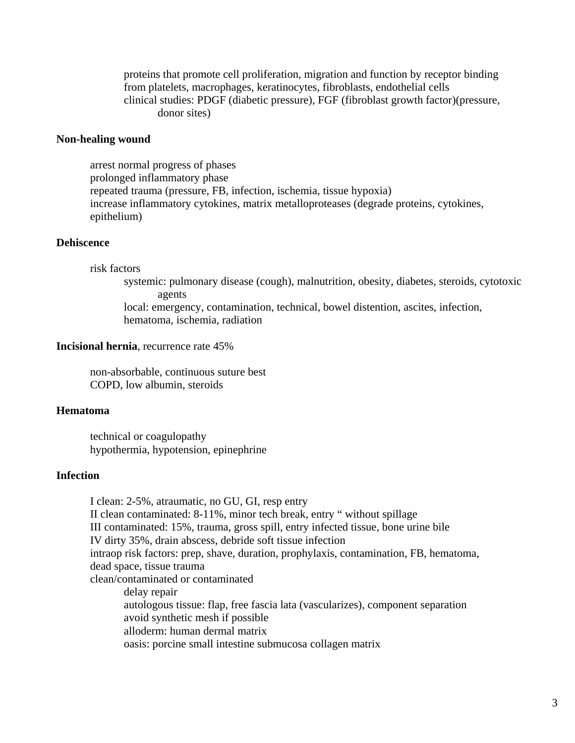proteins that promote cell proliferation, migration and function by receptor binding from platelets, macrophages, keratinocytes, fibroblasts, endothelial cells clinical studies: PDGF (diabetic pressure), FGF (fibroblast growth factor)(pressure, donor sites)

### **Non-healing wound**

 arrest normal progress of phases prolonged inflammatory phase repeated trauma (pressure, FB, infection, ischemia, tissue hypoxia) increase inflammatory cytokines, matrix metalloproteases (degrade proteins, cytokines, epithelium)

# **Dehiscence**

risk factors

 systemic: pulmonary disease (cough), malnutrition, obesity, diabetes, steroids, cytotoxic agents

 local: emergency, contamination, technical, bowel distention, ascites, infection, hematoma, ischemia, radiation

## **Incisional hernia**, recurrence rate 45%

 non-absorbable, continuous suture best COPD, low albumin, steroids

### **Hematoma**

 technical or coagulopathy hypothermia, hypotension, epinephrine

## **Infection**

 I clean: 2-5%, atraumatic, no GU, GI, resp entry II clean contaminated: 8-11%, minor tech break, entry " without spillage III contaminated: 15%, trauma, gross spill, entry infected tissue, bone urine bile IV dirty 35%, drain abscess, debride soft tissue infection intraop risk factors: prep, shave, duration, prophylaxis, contamination, FB, hematoma, dead space, tissue trauma clean/contaminated or contaminated delay repair autologous tissue: flap, free fascia lata (vascularizes), component separation avoid synthetic mesh if possible alloderm: human dermal matrix oasis: porcine small intestine submucosa collagen matrix